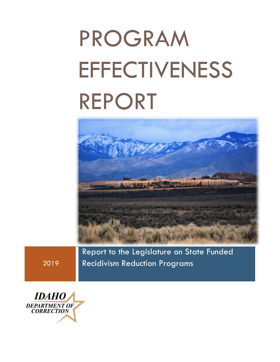# PROGRAM **EFFECTIVENESS** REPORT



Report to the Legislature on State Funded Recidivism Reduction Programs

2019

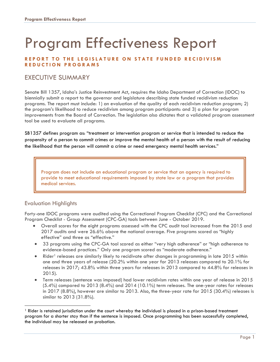## Program Effectiveness Report

#### **REPORT TO THE LEGISLATURE ON STATE FUNDED RECIDIVISM REDUCTION PROGRAMS**

#### EXECUTIVE SUMMARY

Senate Bill 1357, Idaho's Justice Reinvestment Act, requires the Idaho Department of Correction (IDOC) to biennially submit a report to the governor and legislature describing state funded recidivism reduction programs. The report must include: 1) an evaluation of the quality of each recidivism reduction program; 2) the program's likelihood to reduce recidivism among program participants: and 3) a plan for program improvements from the Board of Correction. The legislation also dictates that a validated program assessment tool be used to evaluate all programs.

SB1357 defines program as: "treatment or intervention program or service that is intended to reduce the propensity of a person to commit crimes or improve the mental health of a person with the result of reducing the likelihood that the person will commit a crime or need emergency mental health services."

Program does not include an educational program or service that an agency is required to provide to meet educational requirements imposed by state law or a program that provides medical services.

#### Evaluation Highlights

Forty-one IDOC programs were audited using the Correctional Program Checklist (CPC) and the Correctional Program Checklist - Group Assessment (CPC-GA) tools between June - October 2019.

- Overall scores for the eight programs assessed with the CPC audit tool increased from the 2015 and 2017 audits and were 26.6% above the national average. Five programs scored as "highly effective" and three as "effective."
- 33 programs using the CPC-GA tool scored as either "very high adherence" or "high adherence to evidence-based practices." Only one program scored as "moderate adherence."
- Rider<sup>1</sup> releases are similarly likely to recidivate after changes in programming in late 2015 within one and three years of release (20.2% within one year for 2013 releases compared to 20.1% for releases in 2017; 43.8% within three years for releases in 2013 compared to 44.8% for releases in 2015).
- Term releases (sentence was imposed) had lower recidivism rates within one year of release in 2015 (5.4%) compared to 2013 (8.4%) and 2014 (10.1%) term releases. The one-year rates for releases in 2017 (8.8%), however are similar to 2013. Also, the three-year rate for 2015 (30.4%) releases is similar to 2013 (31.8%).

<sup>1</sup> Rider is retained jurisdiction under the court whereby the individual is placed in a prison-based treatment program for a shorter stay than if the sentence is imposed. Once programming has been successfully completed, the individual may be released on probation.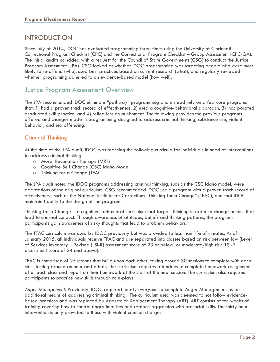#### **INTRODUCTION**

Since July of 2014, IDOC has evaluated programming three times using the University of Cincinnati Correctional Program Checklist (CPC) and the Correctional Program Checklist – Group Assessment (CPC-GA). The initial audits coincided with a request for the Council of State Governments (CSG) to conduct the Justice Program Assessment (JPA). CSG looked at whether IDOC programming was targeting people who were most likely to re-offend (who), used best practices based on current research (what), and regularly reviewed whether programing adhered to an evidence-based model (how well).

#### Justice Program Assessment Overview

The JPA recommended IDOC eliminate "pathway" programming and instead rely on a few core programs that: 1) had a proven track record of effectiveness, 2) used a cognitive-behavioral approach, 3) incorporated graduated skill practice, and 4) relied less on punishment. The following provides the previous programs offered and changes made in programming designed to address criminal thinking, substance use, violent behavior, and sex offending.

#### Criminal Thinking

At the time of the JPA audit, IDOC was teaching the following curricula for individuals in need of interventions to address criminal thinking:

- o Moral Reconation Therapy (MRT)
- o Cognitive Self Change (CSC) Idaho Model
- o Thinking for a Change (TFAC)

The JPA audit noted the IDOC programs addressing criminal thinking, such as the CSC Idaho model, were adaptations of the original curriculum. CSG recommended IDOC use a program with a proven track record of effectiveness, such as the National Institute for Corrections "Thinking for a Change" (TFAC), and that IDOC maintain fidelity to the design of the program.

Thinking for a Change is a cognitive-behavioral curriculum that targets thinking in order to change actions that lead to criminal conduct. Through awareness of attitudes, beliefs and thinking patterns, the program participants gain awareness of risky thoughts that lead to problem behaviors.

The TFAC curriculum was used by IDOC previously but was provided to less than 1% of inmates. As of January 2015, all individuals receive TFAC and are separated into classes based on risk between low (Level of Services Inventory – Revised [LSI-R] assessment score of 23 or below) or moderate/high risk (LSI-R assessment score of 24 and above).

TFAC is comprised of 25 lessons that build upon each other, taking around 30 sessions to complete with each class lasting around an hour and a half. The curriculum requires attendees to complete homework assignments after each class and report on their homework at the start of the next session. The curriculum also requires participants to practice new skills through role-plays.

*Anger Management.* Previously, IDOC required nearly everyone to complete Anger Management as an additional means of addressing criminal thinking. The curriculum used was deemed to not follow evidencebased practices and was replaced by Aggression Replacement Therapy (ART). ART consists of ten weeks of training covering how to control angry impulses and replace aggression with prosocial skills. The thirty-hour intervention is only provided to those with violent criminal charges.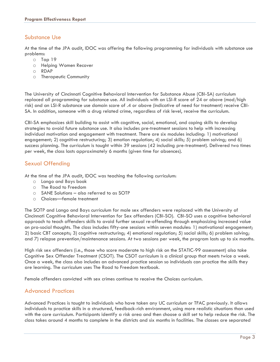#### Substance Use

At the time of the JPA audit, IDOC was offering the following programming for individuals with substance use problems:

- o Tap 19
- o Helping Women Recover
- o RDAP
- o Therapeutic Community

The University of Cincinnati Cognitive Behavioral Intervention for Substance Abuse (CBI-SA) curriculum replaced all programming for substance use. All individuals with an LSI-R score of 24 or above (mod/high risk) and an LSI-R substance use domain score of .4 or above (indicative of need for treatment) receive CBI-SA. In addition, someone with a drug related crime, regardless of risk level, receive the curriculum.

CBI-SA emphasizes skill building to assist with cognitive, social, emotional, and coping skills to develop strategies to avoid future substance use. It also includes pre-treatment sessions to help with increasing individual motivation and engagement with treatment. There are six modules including: 1) motivational engagement; 2) cognitive restructuring; 3) emotion regulation; 4) social skills; 5) problem solving; and 6) success planning. The curriculum is taught within 39 sessions (42 including pre-treatment). Delivered two times per week, the class lasts approximately 6 months (given time for absences).

#### Sexual Offending

At the time of the JPA audit, IDOC was teaching the following curriculum:

- o Lango and Bays book
- o The Road to Freedom
- o SANE Solutions also referred to as SOTP
- o Choices—female treatment

The SOTP and Lango and Bays curriculum for male sex offenders were replaced with the University of Cincinnati Cognitive Behavioral Intervention for Sex offenders (CBI-SO). CBI-SO uses a cognitive behavioral approach to teach offenders skills to avoid further sexual re-offending through emphasizing increased value on pro-social thoughts. The class includes fifty-one sessions within seven modules: 1) motivational engagement; 2) basic CBT concepts; 3) cognitive restructuring; 4) emotional regulation; 5) social skills; 6) problem solving; and 7) relapse prevention/maintenance sessions. At two sessions per week, the program lasts up to six months.

High risk sex offenders (i.e., those who score moderate to high risk on the STATIC-99 assessment) also take Cognitive Sex Offender Treatment (CSOT). The CSOT curriculum is a clinical group that meets twice a week. Once a week, the class also includes an advanced practice session so individuals can practice the skills they are learning. The curriculum uses The Road to Freedom textbook.

Female offenders convicted with sex crimes continue to receive the Choices curriculum.

#### Advanced Practices

Advanced Practices is taught to individuals who have taken any UC curriculum or TFAC previously. It allows individuals to practice skills in a structured, feedback-rich environment, using more realistic situations than used with the core curriculum. Participants identify a risk area and then choose a skill set to help reduce the risk. The class takes around 4 months to complete in the districts and six months in facilities. The classes are separated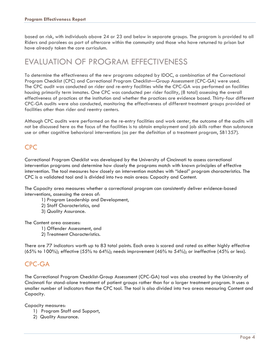based on risk, with individuals above 24 or 23 and below in separate groups. The program is provided to all Riders and parolees as part of aftercare within the community and those who have returned to prison but have already taken the core curriculum.

## EVALUATION OF PROGRAM EFFECTIVENESS

To determine the effectiveness of the new programs adopted by IDOC, a combination of the Correctional Program Checklist (CPC) and Correctional Program Checklist—Group Assessment (CPC-GA) were used. The CPC audit was conducted on rider and re-entry facilities while the CPC-GA was performed on facilities housing primarily term inmates. One CPC was conducted per rider facility, (8 total) assessing the overall effectiveness of practices at the institution and whether the practices are evidence based. Thirty-four different CPC-GA audits were also conducted, monitoring the effectiveness of different treatment groups provided at facilities other than rider and reentry centers.

Although CPC audits were performed on the re-entry facilities and work center, the outcome of the audits will not be discussed here as the focus of the facilities is to obtain employment and job skills rather than substance use or other cognitive behavioral interventions (as per the definition of a treatment program, SB1357).

#### CPC

Correctional Program Checklist was developed by the University of Cincinnati to assess correctional intervention programs and determine how closely the programs match with known principles of effective intervention. The tool measures how closely an intervention matches with "ideal" program characteristics. The CPC is a validated tool and is divided into two main areas: Capacity and Content.

The Capacity area measures whether a correctional program can consistently deliver evidence-based interventions, assessing the areas of:

- 1) Program Leadership and Development,
- 2) Staff Characteristics, and
- 3) Quality Assurance.

The Content area assesses:

- 1) Offender Assessment, and
- 2) Treatment Characteristics.

There are 77 indicators worth up to 83 total points. Each area is scored and rated as either highly effective (65% to 100%); effective (55% to 64%); needs improvement (46% to 54%); or ineffective (45% or less).

#### CPC-GA

The Correctional Program Checklist-Group Assessment (CPC-GA) tool was also created by the University of Cincinnati for stand-alone treatment of patient groups rather than for a larger treatment program. It uses a smaller number of indicators than the CPC tool. The tool is also divided into two areas measuring Content and Capacity.

Capacity measures:

- 1) Program Staff and Support,
- 2) Quality Assurance.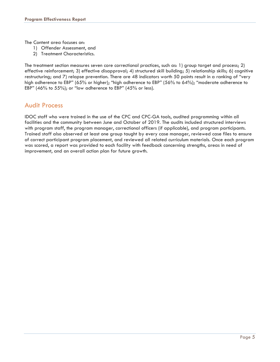The Content area focuses on:

- 1) Offender Assessment, and
- 2) Treatment Characteristics.

The treatment section measures seven core correctional practices, such as: 1) group target and process; 2) effective reinforcement; 3) effective disapproval; 4) structured skill building; 5) relationship skills; 6) cognitive restructuring; and 7) relapse prevention. There are 48 indicators worth 50 points result in a ranking of "very high adherence to EBP" (65% or higher); "high adherence to EBP" (56% to 64%); "moderate adherence to EBP" (46% to 55%); or "low adherence to EBP" (45% or less).

#### Audit Process

IDOC staff who were trained in the use of the CPC and CPC-GA tools, audited programming within all facilities and the community between June and October of 2019. The audits included structured interviews with program staff, the program manager, correctional officers (if applicable), and program participants. Trained staff also observed at least one group taught by every case manager, reviewed case files to ensure of correct participant program placement, and reviewed all related curriculum materials. Once each program was scored, a report was provided to each facility with feedback concerning strengths, areas in need of improvement, and an overall action plan for future growth.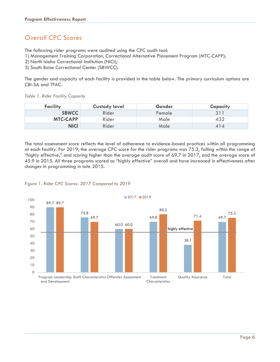#### Overall CPC Scores

The following rider programs were audited using the CPC audit tool:

- 1) Management Training Corporation, Correctional Alternative Placement Program (MTC-CAPP);
- 2) North Idaho Correctional Institution (NICI);
- 3) South Boise Correctional Center (SBWCC).

The gender and capacity of each facility is provided in the table below. The primary curriculum options are CBI-SA and TFAC.

*Table 1. Rider Facility Capacity* 

| Facility        | <b>Custody level</b> | Gender | Capacity |
|-----------------|----------------------|--------|----------|
| <b>SBWCC</b>    | Rider                | Female |          |
| <b>MTC-CAPP</b> | Rider                | Male   | 432      |
| <b>NICI</b>     | Rider                | Male   | 414      |

The total assessment score reflects the level of adherence to evidence-based practices within all programming at each facility. For 2019, the average CPC score for the rider programs was 75.3, falling within the range of "highly effective," and scoring higher than the average audit score of 69.7 in 2017, and the average score of 45.9 in 2015. All three programs scored as "highly effective" overall and have increased in effectiveness after changes in programming in late 2015.



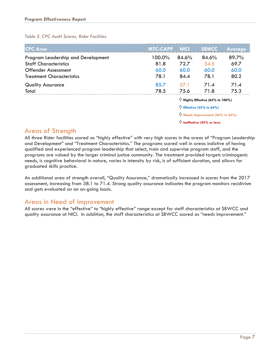*Table 2. CPC Audit Scores, Rider Facilities* 

| <b>CPC</b> Area                    | <b>MTC-CAPP</b>                   | <b>NICI</b>                               | <b>SBWCC</b> | <b>Average</b> |
|------------------------------------|-----------------------------------|-------------------------------------------|--------------|----------------|
| Program Leadership and Development | 100.0%                            | 84.6%                                     | 84.6%        | 89.7%          |
| <b>Staff Characteristics</b>       | 81.8                              | 72.7                                      | 54.5         | 69.7           |
| <b>Offender Assessment</b>         | 60.0                              | 60.0                                      | 60.0         | 60.0           |
| <b>Treatment Characteristics</b>   | 78.1                              | 84.4                                      | 78.1         | 80.2           |
| <b>Quality Assurance</b>           | 85.7                              | 57.1                                      | 71.4         | 71.4           |
| Total                              | 78.5                              | 75.6                                      | 71.8         | 75.3           |
|                                    |                                   | $\Diamond$ Highly Effective (65% to 100%) |              |                |
|                                    | $\Diamond$ Effective (55% to 64%) |                                           |              |                |

 $\Diamond$  **Needs Improvement (46% to 54%)** 

**Ineffective (45% or less)** 

#### Areas of Strength

All three Rider facilities scored as "highly effective" with very high scores in the areas of "Program Leadership and Development" and "Treatment Characteristics." The programs scored well in areas indictive of having qualified and experienced program leadership that select, train and supervise program staff, and the programs are valued by the larger criminal justice community. The treatment provided targets criminogenic needs, is cognitive behavioral in nature, varies in intensity by risk, is of sufficient duration, and allows for graduated skills practice.

An additional area of strength overall, "Quality Assurance," dramatically increased in scores from the 2017 assessment, increasing from 38.1 to 71.4. Strong quality assurance indicates the program monitors recidivism and gets evaluated on an on-going basis.

#### Areas in Need of Improvement

All scores were in the "effective" to "highly effective" range except for staff characteristics at SBWCC and quality assurance at NICI. In addition, the staff characteristics at SBWCC scored as "needs improvement."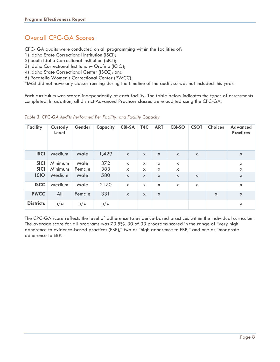#### Overall CPC-GA Scores

CPC- GA audits were conducted on all programming within the facilities of:

1) Idaho State Correctional Institution (ISCI);

2) South Idaho Correctional Institution (SICI);

3) Idaho Correctional Institution– Orofino (ICIO);

4) Idaho State Correctional Center (ISCC); and

5) Pocatello Women's Correctional Center (PWCC).

\*IMSI did not have any classes running during the timeline of the audit, so was not included this year.

Each curriculum was scored independently at each facility. The table below indicates the types of assessments completed. In addition, all district Advanced Practices classes were audited using the CPC-GA.

| <b>Facility</b>  | Custody<br>Level | Gender | Capacity | <b>CBI-SA</b>             | T4C                       | <b>ART</b>                | <b>CBI-SO</b>             | <b>CSOT</b>               | <b>Choices</b>            | <b>Advanced</b><br><b>Practices</b> |
|------------------|------------------|--------|----------|---------------------------|---------------------------|---------------------------|---------------------------|---------------------------|---------------------------|-------------------------------------|
| <b>ISCI</b>      | Medium           | Male   | 1,429    | $\mathsf{x}$              | $\mathsf{x}$              | $\boldsymbol{\mathsf{x}}$ | $\mathsf{x}$              | $\boldsymbol{\mathsf{x}}$ |                           | $\boldsymbol{\mathsf{X}}$           |
| <b>SICI</b>      | <b>Minimum</b>   | Male   | 372      | $\boldsymbol{\mathsf{x}}$ | $\mathsf{x}$              | $\mathsf{x}$              | $\boldsymbol{\mathsf{x}}$ |                           |                           | $\boldsymbol{\mathsf{X}}$           |
| <b>SICI</b>      | Minimum          | Female | 383      | X                         | $\mathsf{x}$              | $\mathsf{x}$              | $\mathsf{x}$              |                           |                           | X                                   |
| <b>ICIO</b>      | Medium           | Male   | 580      | $\boldsymbol{\mathsf{X}}$ | $\boldsymbol{\mathsf{x}}$ | $\boldsymbol{\mathsf{x}}$ | $\boldsymbol{\mathsf{x}}$ | $\boldsymbol{\mathsf{x}}$ |                           | $\boldsymbol{\mathsf{X}}$           |
| <b>ISCC</b>      | Medium           | Male   | 2170     | $\boldsymbol{\mathsf{X}}$ | $\boldsymbol{\mathsf{x}}$ | X                         | $\boldsymbol{\mathsf{x}}$ | $\mathsf{x}$              |                           | X                                   |
| <b>PWCC</b>      | All              | Female | 331      | $\boldsymbol{\mathsf{x}}$ | $\boldsymbol{\mathsf{x}}$ | $\boldsymbol{\mathsf{x}}$ |                           |                           | $\boldsymbol{\mathsf{X}}$ | $\boldsymbol{\mathsf{X}}$           |
| <b>Districts</b> | n/a              | n/a    | n/a      |                           |                           |                           |                           |                           |                           | X                                   |

*Table 3. CPC-GA Audits Performed Per Facility, and Facility Capacity* 

The CPC-GA score reflects the level of adherence to evidence-based practices within the individual curriculum. The average score for all programs was 73.5%. 30 of 33 programs scored in the range of "very high adherence to evidence-based practices (EBP)," two as "high adherence to EBP," and one as "moderate adherence to EBP."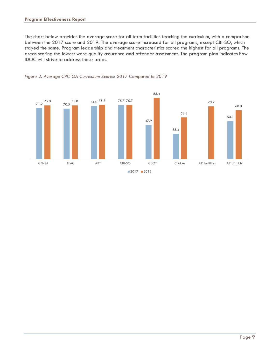The chart below provides the average score for all term facilities teaching the curriculum, with a comparison between the 2017 score and 2019. The average score increased for all programs, except CBI-SO, which stayed the same. Program leadership and treatment characteristics scored the highest for all programs. The areas scoring the lowest were quality assurance and offender assessment. The program plan indicates how IDOC will strive to address these areas.



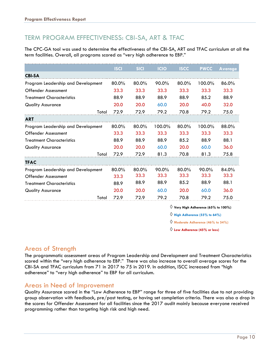#### TERM PROGRAM EFFECTIVENESS: CBI-SA, ART & TFAC

The CPC-GA tool was used to determine the effectiveness of the CBI-SA, ART and TFAC curriculum at all the term facilities. Overall, all programs scored as "very high adherence to EBP."

|                                    | <b>ISCI</b> | <b>SICI</b> | <b>ICIO</b> | <b>ISCC</b> | <b>PWCC</b> | <b>Average</b> |
|------------------------------------|-------------|-------------|-------------|-------------|-------------|----------------|
| <b>CBI-SA</b>                      |             |             |             |             |             |                |
| Program Leadership and Development | 80.0%       | 80.0%       | $90.0\%$    | $80.0\%$    | 100.0%      | 86.0%          |
| <b>Offender Assessment</b>         | 33.3        | 33.3        | 33.3        | 33.3        | 33.3        | 33.3           |
| <b>Treatment Characteristics</b>   | 88.9        | 88.9        | 88.9        | 88.9        | 85.2        | 88.9           |
| <b>Quality Assurance</b>           | 20.0        | 20.0        | 60.0        | 20.0        | 40.0        | 32.0           |
| Total                              | 72.9        | 72.9        | 79.2        | 70.8        | 79.2        | 75.0           |
| <b>ART</b>                         |             |             |             |             |             |                |
| Program Leadership and Development | 80.0%       | 80.0%       | 100.0%      | $80.0\%$    | $100.0\%$   | 88.0%          |
| <b>Offender Assessment</b>         | 33.3        | 33.3        | 33.3        | 33.3        | 33.3        | 33.3           |
| <b>Treatment Characteristics</b>   | 88.9        | 88.9        | 88.9        | 85.2        | 88.9        | 88.1           |
| <b>Quality Assurance</b>           | 20.0        | 20.0        | 60.0        | 20.0        | 60.0        | 36.0           |
| Total                              | 72.9        | 72.9        | 81.3        | 70.8        | 81.3        | 75.8           |
| <b>TFAC</b>                        |             |             |             |             |             |                |
| Program Leadership and Development | 80.0%       | $80.0\%$    | $90.0\%$    | $80.0\%$    | 90.0%       | 84.0%          |
| <b>Offender Assessment</b>         | 33.3        | 33.3        | 33.3        | 33.3        | 33.3        | 33.3           |
| <b>Treatment Characteristics</b>   | 88.9        | 88.9        | 88.9        | 85.2        | 88.9        | 88.1           |
| <b>Quality Assurance</b>           | 20.0        | 20.0        | 60.0        | 20.0        | 60.0        | 36.0           |
| Total                              | 72.9        | 72.9        | 79.2        | 70.8        | 79.2        | 75.0           |

 $\Diamond$  Very High Adherence (65% to 100%)

**High Adherence (55% to 64%)** 

**Moderate Adherence (46% to 54%)** 

**Low Adherence (45% or less)** 

#### Areas of Strength

The programmatic assessment areas of Program Leadership and Development and Treatment Characteristics scored within the "very high adherence to EBP." There was also increase to overall average scores for the CBI-SA and TFAC curriculum from 71 in 2017 to 75 in 2019. In addition, ISCC increased from "high adherence" to "very high adherence" to EBP for all curriculum.

#### Areas in Need of Improvement

Quality Assurance scored in the "Low Adherence to EBP" range for three of five facilities due to not providing group observation with feedback, pre/post testing, or having set completion criteria. There was also a drop in the scores for Offender Assessment for all facilities since the 2017 audit mainly because everyone received programming rather than targeting high risk and high need.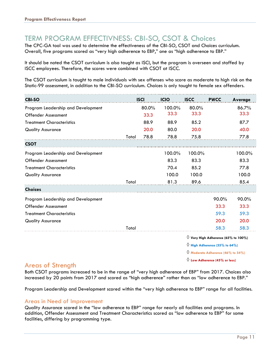#### TERM PROGRAM EFFECTIVNESS: CBI-SO, CSOT & Choices

The CPC-GA tool was used to determine the effectiveness of the CBI-SO, CSOT and Choices curriculum. Overall, five programs scored as "very high adherence to EBP," one as "high adherence to EBP."

It should be noted the CSOT curriculum is also taught as ISCI, but the program is overseen and staffed by ISCC employees. Therefore, the scores were combined with CSOT at ISCC.

The CSOT curriculum is taught to male individuals with sex offenses who score as moderate to high risk on the Static-99 assessment, in addition to the CBI-SO curriculum. Choices is only taught to female sex offenders.

| <b>CBI-SO</b>                      |       | <b>ISCI</b> | <b>ICIO</b> | <b>ISCC</b> | <b>PWCC</b>                                  | Average |
|------------------------------------|-------|-------------|-------------|-------------|----------------------------------------------|---------|
| Program Leadership and Development |       | 80.0%       | 100.0%      | 80.0%       |                                              | 86.7%   |
| <b>Offender Assessment</b>         |       | 33.3        | 33.3        | 33.3        |                                              | 33.3    |
| <b>Treatment Characteristics</b>   |       | 88.9        | 88.9        | 85.2        |                                              | 87.7    |
| <b>Quality Assurance</b>           |       | 20.0        | 80.0        | 20.0        |                                              | 40.0    |
|                                    | Total | 78.8        | 78.8        | 75.8        |                                              | 77.8    |
| <b>CSOT</b>                        |       |             |             |             |                                              |         |
| Program Leadership and Development |       |             | 100.0%      | 100.0%      |                                              | 100.0%  |
| <b>Offender Assessment</b>         |       |             | 83.3        | 83.3        |                                              | 83.3    |
| <b>Treatment Characteristics</b>   |       |             | 70.4        | 85.2        |                                              | 77.8    |
| <b>Quality Assurance</b>           |       |             | 100.0       | 100.0       |                                              | 100.0   |
|                                    | Total |             | 81.3        | 89.6        |                                              | 85.4    |
| <b>Choices</b>                     |       |             |             |             |                                              |         |
| Program Leadership and Development |       |             |             |             | 90.0%                                        | 90.0%   |
| <b>Offender Assessment</b>         |       |             |             |             | 33.3                                         | 33.3    |
| <b>Treatment Characteristics</b>   |       |             |             |             | 59.3                                         | 59.3    |
| <b>Quality Assurance</b>           |       |             |             |             | 20.0                                         | 20.0    |
|                                    | Total |             |             |             | 58.3                                         | 58.3    |
|                                    |       |             |             |             | $\Diamond$ Very High Adherence (65% to 100%) |         |
|                                    |       |             |             |             | $\Diamond$ High Adherence (55% to 64%)       |         |
|                                    |       |             |             |             |                                              |         |

**Moderate Adherence (46% to 54%)** 

**Low Adherence (45% or less)** 

#### Areas of Strength

Both CSOT programs increased to be in the range of "very high adherence of EBP" from 2017. Choices also increased by 20 points from 2017 and scored as "high adherence" rather than as "low adherence to EBP."

Program Leadership and Development scored within the "very high adherence to EBP" range for all facilities.

#### Areas in Need of Improvement

Quality Assurance scored in the "low adherence to EBP" range for nearly all facilities and programs. In addition, Offender Assessment and Treatment Characteristics scored as "low adherence to EBP" for some facilities, differing by programming type.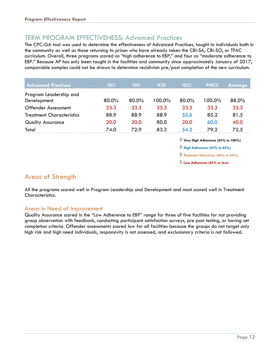#### TERM PROGRAM EFFECTIVENESS: Advanced Practices

The CPC-GA tool was used to determine the effectiveness of Advanced Practices, taught to individuals both in the community as well as those returning to prison who have already taken the CBI-SA, CBI-SO, or TFAC curriculum. Overall, three programs scored as "high adherence to EBP," and four as "moderate adherence to EBP." Because AP has only been taught in the facilities and community since approximately January of 2017, comparable samples could not be drawn to determine recidivism pre/post completion of the new curriculum.

| <b>Advanced Practices</b>        | <b>ISCL</b> | <b>SICI</b> | <b>ICIO</b> | <b>ISCC</b> | <b>PWCC</b> | <b>Average</b> |
|----------------------------------|-------------|-------------|-------------|-------------|-------------|----------------|
| Program Leadership and           |             |             |             |             |             |                |
| Development                      | 80.0%       | 80.0%       | 100.0%      | 80.0%       | 100.0%      | 88.0%          |
| <b>Offender Assessment</b>       | 33.3        | 33.3        | 33.3        | 33.3        | 33.3        | 33.3           |
| <b>Treatment Characteristics</b> | 88.9        | 88.9        | 88.9        | 55.6        | 85.2        | 81.5           |
| <b>Quality Assurance</b>         | 20.0        | 20.0        | 80.0        | 20.0        | 60.0        | 40.0           |
| Total                            | 74.0        | 72.9        | 83.3        | 54.2        | 79.2        | 72.5           |

 $\Diamond$  Very High Adherence (65% to 100%)

 $\Diamond$  High Adherence (55% to 64%)

**Moderate Adherence (46% to 54%)** 

**Low Adherence (45% or less)** 

#### Areas of Strength

All the programs scored well in Program Leadership and Development and most scored well in Treatment Characteristics.

#### Areas in Need of Improvement

Quality Assurance scored in the "Low Adherence to EBP" range for three of five facilities for not providing group observation with feedback, conducting participant satisfaction surveys, pre post testing, or having set completion criteria. Offender assessments scored low for all facilities because the groups do not target only high risk and high need individuals, responsivity is not assessed, and exclusionary criteria is not followed.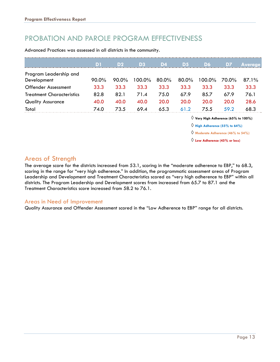### PROBATION AND PAROLE PROGRAM EFFECTIVENESS

Advanced Practices was assessed in all districts in the community.

|                                  | D1    | D <sub>2</sub> | D <sub>3</sub> | D4    | D <sub>5</sub> | <b>D6</b> | D7    | <b>Average</b> |
|----------------------------------|-------|----------------|----------------|-------|----------------|-----------|-------|----------------|
| Program Leadership and           |       |                |                |       |                |           |       |                |
| Development                      | 90.0% | 90.0%          | 100.0%         | 80.0% | $80.0\%$       | 100.0%    | 70.0% | $87.1\%$       |
| <b>Offender Assessment</b>       | 33.3  | 33.3           | 33.3           | 33.3  | 33.3           | 33.3      | 33.3  | 33.3           |
| <b>Treatment Characteristics</b> | 82.8  | 82.1           | 71.4           | 75.0  | 67.9           | 85.7      | 67.9  | 76.1           |
| <b>Quality Assurance</b>         | 40.0  | 40.0           | 40.0           | 20.0  | 20.0           | 20.0      | 20.0  | 28.6           |
| Total                            | 74.0  | 73.5           | 69.4           | 65.3  | 61.2           | 75.5      | 59.2  | 68.3           |

 $\diamondsuit$  Very High Adherence (65% to 100%)

 $\Diamond$  High Adherence (55% to 64%)

**Moderate Adherence (46% to 54%)** 

**Low Adherence (45% or less)** 

#### Areas of Strength

The average score for the districts increased from 53.1, scoring in the "moderate adherence to EBP," to 68.3, scoring in the range for "very high adherence." In addition, the programmatic assessment areas of Program Leadership and Development and Treatment Characteristics scored as "very high adherence to EBP" within all districts. The Program Leadership and Development scores from increased from 65.7 to 87.1 and the Treatment Characteristics score increased from 58.2 to 76.1.

#### Areas in Need of Improvement

Quality Assurance and Offender Assessment scored in the "Low Adherence to EBP" range for all districts.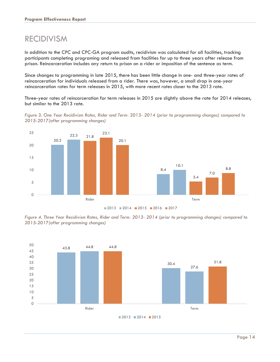## RECIDIVISM

In addition to the CPC and CPC-GA program audits, recidivism was calculated for all facilities, tracking participants completing programing and released from facilities for up to three years after release from prison. Reincarceration includes any return to prison on a rider or imposition of the sentence as term.

Since changes to programming in late 2015, there has been little change in one- and three-year rates of reincarceration for individuals released from a rider. There was, however, a small drop in one-year reincarceration rates for term releases in 2015, with more recent rates closer to the 2013 rate.

Three-year rates of reincarceration for term releases in 2015 are slightly above the rate for 2014 releases, but similar to the 2013 rate.





*Figure 4. Three Year Recidivism Rates, Rider and Term: 2013- 2014 (prior to programming changes) compared to 2015-2017(after programming changes)* 

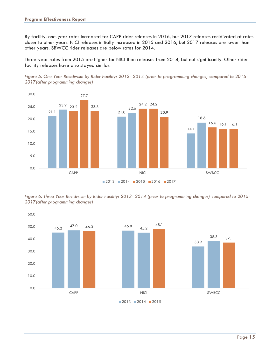By facility, one-year rates increased for CAPP rider releases in 2016, but 2017 releases recidivated at rates closer to other years. NICI releases initially increased in 2015 and 2016, but 2017 releases are lower than other years. SBWCC rider releases are below rates for 2014.

Three-year rates from 2015 are higher for NICI than releases from 2014, but not significantly. Other rider facility releases have also stayed similar.

*Figure 5. One Year Recidivism by Rider Facility: 2013- 2014 (prior to programming changes) compared to 2015- 2017(after programming changes)* 



*Figure 6. Three Year Recidivism by Rider Facility: 2013- 2014 (prior to programming changes) compared to 2015- 2017(after programming changes)* 



 $2013$  2014 2015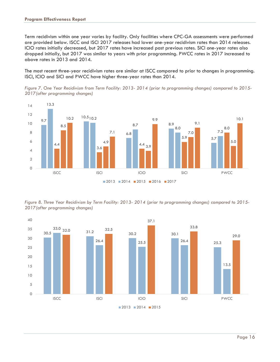Term recidivism within one year varies by facility. Only facilities where CPC-GA assessments were performed are provided below. ISCC and ISCI 2017 releases had lower one-year recidivism rates than 2014 releases. ICIO rates initially decreased, but 2017 rates have increased past previous rates. SICI one-year rates also dropped initially, but 2017 was similar to years with prior programming. PWCC rates in 2017 increased to above rates in 2013 and 2014.

The most recent three-year recidivism rates are similar at ISCC compared to prior to changes in programming. ISCI, ICIO and SICI and PWCC have higher three-year rates than 2014.

*Figure 7. One Year Recidivism from Term Facility: 2013- 2014 (prior to programming changes) compared to 2015- 2017(after programming changes)* 



*Figure 8. Three Year Recidivism by Term Facility: 2013- 2014 (prior to programming changes) compared to 2015- 2017(after programming changes)* 

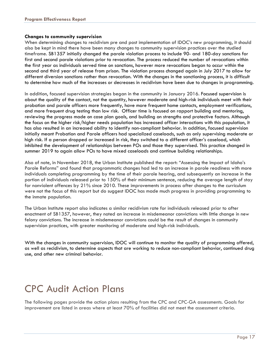#### **Changes to community supervision**

When determining changes to recidivism pre and post implementation of IDOC's new programming, it should also be kept in mind there have been many changes to community supervision practices over the studied timeframe. SB1357 initially changed the parole violation process to include 90- and 180-day sanctions for first and second parole violations prior to revocation. The process reduced the number of revocations within the first year as individuals served time on sanctions, however more revocations began to occur within the second and third year of release from prison. The violation process changed again in July 2017 to allow for different diversion sanctions rather than revocation. With the changes in the sanctioning process, it is difficult to determine how much of the increases or decreases in recidivism have been due to changes in programming.

In addition, focused supervision strategies began in the community in January 2016. Focused supervision is about the quality of the contact, not the quantity, however moderate and high-risk individuals meet with their probation and parole officers more frequently, have more frequent home contacts, employment verifications, and more frequent drug testing than low risk. Officer time is focused on rapport building and mentoring, reviewing the progress made on case plan goals, and building on strengths and protective factors. Although the focus on the higher risk/higher needs population has increased officer interactions with this population, it has also resulted in an increased ability to identify non-compliant behavior. In addition, focused supervision initially meant Probation and Parole officers had specialized caseloads, such as only supervising moderate or high risk. If a person dropped or increased in risk, they switched to a different officer's caseload, which inhibited the development of relationships between POs and those they supervised. This practice changed in summer 2019 to again allow POs to have mixed caseloads and continue building relationships.

Also of note, in November 2018, the Urban Institute published the report: "Assessing the Impact of Idaho's Parole Reforms" and found that programmatic changes had led to an increase in parole readiness with more individuals completing programming by the time of their parole hearing, and subsequently an increase in the portion of individuals released prior to 150% of their minimum sentence, reducing the average length of stay for nonviolent offences by 21% since 2010. These improvements in process after changes to the curriculum were not the focus of this report but do suggest IDOC has made much progress in providing programming to the inmate population.

The Urban Institute report also indicates a similar recidivism rate for individuals released prior to after enactment of SB1357, however, they noted an increase in misdemeanor convictions with little change in new felony convictions. The increase in misdemeanor convictions could be the result of changes in community supervision practices, with greater monitoring of moderate and high-risk individuals.

With the changes in community supervision, IDOC will continue to monitor the quality of programming offered, as well as recidivism, to determine aspects that are working to reduce non-compliant behavior, continued drug use, and other new criminal behavior.

## CPC Audit Action Plans

The following pages provide the action plans resulting from the CPC and CPC-GA assessments. Goals for improvement are listed in areas where at least 70% of facilities did not meet the assessment criteria.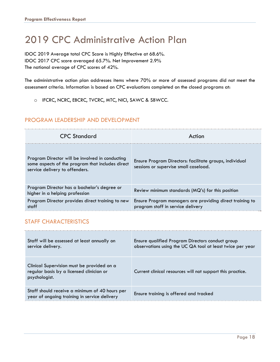## 2019 CPC Administrative Action Plan

IDOC 2019 Average total CPC Score is Highly Effective at 68.6%. IDOC 2017 CPC score averaged 65.7%. Net Improvement 2.9% The national average of CPC scores of 42%.

The administrative action plan addresses items where 70% or more of assessed programs did not meet the assessment criteria. Information is based on CPC evaluations completed on the closed programs at:

o IFCRC, NCRC, EBCRC, TVCRC, MTC, NICI, SAWC & SBWCC.

#### PROGRAM LEADERSHIP AND DEVELOPMENT

| <b>CPC Standard</b>                                                                                                                   | Action                                                                                           |
|---------------------------------------------------------------------------------------------------------------------------------------|--------------------------------------------------------------------------------------------------|
| Program Director will be involved in conducting<br>some aspects of the program that includes direct<br>service delivery to offenders. | Ensure Program Directors: facilitate groups, individual<br>sessions or supervise small caseload. |
| Program Director has a bachelor's degree or<br>higher in a helping profession                                                         | Review minimum standards (MQ's) for this position                                                |
| Program Director provides direct training to new<br>staff                                                                             | Ensure Program managers are providing direct training to<br>program staff in service delivery    |

#### STAFF CHARACTERISTICS

| Staff will be assessed at least annually on<br>service delivery.                                        | Ensure qualified Program Directors conduct group<br>observations using the UC QA tool at least twice per year |
|---------------------------------------------------------------------------------------------------------|---------------------------------------------------------------------------------------------------------------|
| Clinical Supervision must be provided on a<br>regular basis by a licensed clinician or<br>psychologist. | Current clinical resources will not support this practice.                                                    |
| Staff should receive a minimum of 40 hours per<br>year of ongoing training in service delivery          | Ensure training is offered and tracked                                                                        |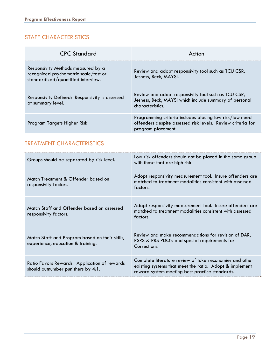#### STAFF CHARACTERISTICS

| <b>CPC Standard</b>                                                                                               | Action                                                                                                                                      |
|-------------------------------------------------------------------------------------------------------------------|---------------------------------------------------------------------------------------------------------------------------------------------|
| Responsivity Methods measured by a<br>recognized psychometric scale/test or<br>standardized/quantified interview. | Review and adopt responsivity tool such as TCU CSR,<br>Jesness, Beck, MAYSI.                                                                |
| Responsivity Defined: Responsivity is assessed<br>at summary level.                                               | Review and adopt responsivity tool such as TCU CSR,<br>Jesness, Beck, MAYSI which include summary of personal<br>characteristics.           |
| Program Targets Higher Risk                                                                                       | Programming criteria includes placing low risk/low need<br>offenders despite assessed risk levels. Review criteria for<br>program placement |

#### TREATMENT CHARACTERISTICS

| Groups should be separated by risk level.                                           | Low risk offenders should not be placed in the same group<br>with those that are high risk                                                                           |
|-------------------------------------------------------------------------------------|----------------------------------------------------------------------------------------------------------------------------------------------------------------------|
| Match Treatment & Offender based on<br>responsivity factors.                        | Adopt responsivity measurement tool. Insure offenders are<br>matched to treatment modalities consistent with assessed<br>factors.                                    |
| Match Staff and Offender based on assessed<br>responsivity factors.                 | Adopt responsivity measurement tool. Insure offenders are<br>matched to treatment modalities consistent with assessed<br>factors.                                    |
| Match Staff and Program based on their skills,<br>experience, education & training. | Review and make recommendations for revision of DAR,<br>PSRS & PRS PDQ's and special requirements for<br>Corrections.                                                |
| Ratio Favors Rewards: Application of rewards<br>should outnumber punishers by 4:1.  | Complete literature review of token economies and other<br>existing systems that meet the ratio. Adopt & implement<br>reward system meeting best practice standards. |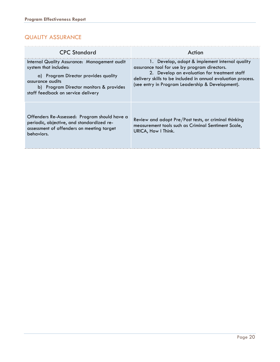#### QUALITY ASSURANCE

| <b>CPC</b> Standard                                                                                                                                                                                                | Action                                                                                                                                                                                                                                                             |
|--------------------------------------------------------------------------------------------------------------------------------------------------------------------------------------------------------------------|--------------------------------------------------------------------------------------------------------------------------------------------------------------------------------------------------------------------------------------------------------------------|
| Internal Quality Assurance: Management audit<br>system that includes:<br>a) Program Director provides quality<br>assurance audits<br>b) Program Director monitors & provides<br>staff feedback on service delivery | 1. Develop, adopt & implement internal quality<br>assurance tool for use by program directors.<br>2. Develop an evaluation for treatment staff<br>delivery skills to be included in annual evaluation process.<br>(see entry in Program Leadership & Development). |
| Offenders Re-Assessed: Program should have a<br>periodic, objective, and standardized re-<br>assessment of offenders on meeting target<br>behaviors.                                                               | Review and adopt Pre/Post tests, or criminal thinking<br>measurement tools such as Criminal Sentiment Scale,<br>URICA, How I Think.                                                                                                                                |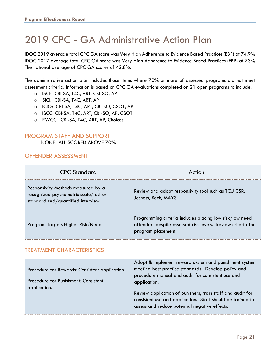## 2019 CPC - GA Administrative Action Plan

IDOC 2019 average total CPC GA score was Very High Adherence to Evidence Based Practices (EBP) at 74.9% IDOC 2017 average total CPC GA score was Very High Adherence to Evidence Based Practices (EBP) at 73% The national average of CPC GA scores of 42.8%.

The administrative action plan includes those items where 70% or more of assessed programs did not meet assessment criteria. Information is based on CPC GA evaluations completed on 21 open programs to include:

- o ISCI: CBI-SA, T4C, ART, CBI-SO, AP
- o SICI: CBI-SA, T4C, ART, AP
- o ICIO: CBI-SA, T4C, ART, CBI-SO, CSOT, AP
- o ISCC: CBI-SA, T4C, ART, CBI-SO, AP, CSOT
- o PWCC: CBI-SA, T4C, ART, AP, Choices

#### PROGRAM STAFF AND SUPPORT

NONE- ALL SCORED ABOVE 70%

#### OFFENDER ASSESSMENT

| <b>CPC Standard</b>                                                                                               | Action                                                                                                                                      |
|-------------------------------------------------------------------------------------------------------------------|---------------------------------------------------------------------------------------------------------------------------------------------|
| Responsivity Methods measured by a<br>recognized psychometric scale/test or<br>standardized/quantified interview. | Review and adopt responsivity tool such as TCU CSR,<br>Jesness, Beck, MAYSI.                                                                |
| Program Targets Higher Risk/Need                                                                                  | Programming criteria includes placing low risk/low need<br>offenders despite assessed risk levels. Review criteria for<br>program placement |

#### TREATMENT CHARACTERISTICS

| Procedure for Rewards: Consistent application.<br>Procedure for Punishment: Consistent<br>application. | Adopt & implement reward system and punishment system<br>meeting best practice standards. Develop policy and<br>procedure manual and audit for consistent use and<br>application.<br>Review application of punishers, train staff and audit for<br>consistent use and application. Staff should be trained to<br>assess and reduce potential negative effects. |
|--------------------------------------------------------------------------------------------------------|----------------------------------------------------------------------------------------------------------------------------------------------------------------------------------------------------------------------------------------------------------------------------------------------------------------------------------------------------------------|
|--------------------------------------------------------------------------------------------------------|----------------------------------------------------------------------------------------------------------------------------------------------------------------------------------------------------------------------------------------------------------------------------------------------------------------------------------------------------------------|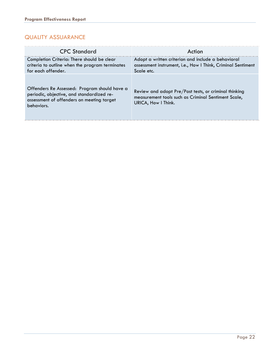#### QUALITY ASSUARANCE

| <b>CPC Standard</b>                                                                                                                                  | Action                                                                                                                              |
|------------------------------------------------------------------------------------------------------------------------------------------------------|-------------------------------------------------------------------------------------------------------------------------------------|
| Completion Criteria: There should be clear<br>criteria to outline when the program terminates<br>for each offender.                                  | Adopt a written criterion and include a behavioral<br>assessment instrument, i.e., How I Think, Criminal Sentiment<br>Scale etc.    |
| Offenders Re Assessed: Program should have a<br>periodic, objective, and standardized re-<br>assessment of offenders on meeting target<br>behaviors. | Review and adopt Pre/Post tests, or criminal thinking<br>measurement tools such as Criminal Sentiment Scale,<br>URICA, How I Think. |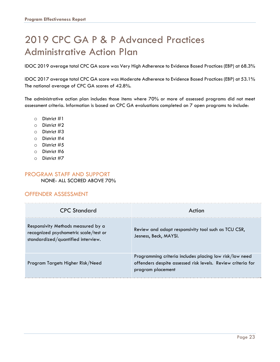## 2019 CPC GA P & P Advanced Practices Administrative Action Plan

IDOC 2019 average total CPC GA score was Very High Adherence to Evidence Based Practices (EBP) at 68.3%

IDOC 2017 average total CPC GA score was Moderate Adherence to Evidence Based Practices (EBP) at 53.1% The national average of CPC GA scores of 42.8%.

The administrative action plan includes those items where 70% or more of assessed programs did not meet assessment criteria. Information is based on CPC GA evaluations completed on 7 open programs to include:

- o District #1
- o District #2
- o District #3
- o District #4
- o District #5
- o District #6
- o District #7

#### PROGRAM STAFF AND SUPPORT NONE- ALL SCORED ABOVE 70%

#### OFFENDER ASSESSMENT

| <b>CPC Standard</b>                                                                                               | Action                                                                                                                                      |
|-------------------------------------------------------------------------------------------------------------------|---------------------------------------------------------------------------------------------------------------------------------------------|
| Responsivity Methods measured by a<br>recognized psychometric scale/test or<br>standardized/quantified interview. | Review and adopt responsivity tool such as TCU CSR,<br>Jesness, Beck, MAYSI.                                                                |
| Program Targets Higher Risk/Need                                                                                  | Programming criteria includes placing low risk/low need<br>offenders despite assessed risk levels. Review criteria for<br>program placement |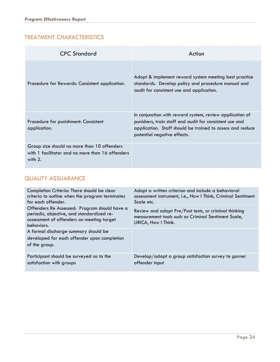#### TREATMENT CHARACTERISTICS

| <b>CPC Standard</b>                                                                                          | Action                                                                                                                                                                                                          |
|--------------------------------------------------------------------------------------------------------------|-----------------------------------------------------------------------------------------------------------------------------------------------------------------------------------------------------------------|
| Procedure for Rewards: Consistent application.                                                               | Adopt & implement reward system meeting best practice<br>standards. Develop policy and procedure manual and<br>audit for consistent use and application.                                                        |
| Procedure for punishment: Consistent<br>application.                                                         | In conjunction with reward system, review application of<br>punishers, train staff and audit for consistent use and<br>application. Staff should be trained to assess and reduce<br>potential negative effects. |
| Group size should no more than 10 offenders<br>with 1 facilitator and no more than 16 offenders<br>with $2.$ |                                                                                                                                                                                                                 |

#### QUALITY ASSUARANCE

| Completion Criteria: There should be clear                                                                                                           | Adopt a written criterion and include a behavioral                                                                                  |
|------------------------------------------------------------------------------------------------------------------------------------------------------|-------------------------------------------------------------------------------------------------------------------------------------|
| criteria to outline when the program terminates                                                                                                      | assessment instrument, i.e., How I Think, Criminal Sentiment                                                                        |
| for each offender.                                                                                                                                   | Scale etc.                                                                                                                          |
| Offenders Re Assessed: Program should have a<br>periodic, objective, and standardized re-<br>assessment of offenders on meeting target<br>behaviors. | Review and adopt Pre/Post tests, or criminal thinking<br>measurement tools such as Criminal Sentiment Scale,<br>URICA, How I Think. |
| A formal discharge summary should be<br>developed for each offender upon completion<br>of the group.                                                 |                                                                                                                                     |
| Participant should be surveyed as to the                                                                                                             | Develop/adapt a group satisfaction survey to garner                                                                                 |
| satisfaction with groups                                                                                                                             | offender input                                                                                                                      |